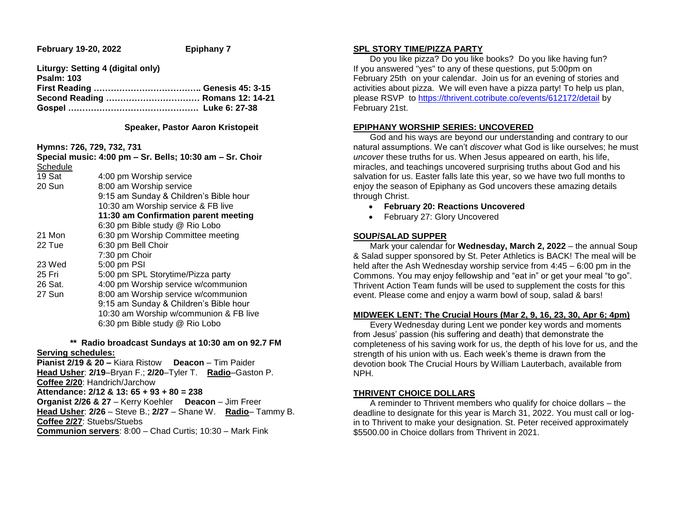**February 19-20, 2022 Epiphany 7** 

**Liturgy: Setting 4 (digital only) Psalm: 103 First Reading ……………………………….. Genesis 45: 3-15 Second Reading …………………………… Romans 12: 14-21 Gospel ………………………………………. Luke 6: 27-38**

### **Speaker, Pastor Aaron Kristopeit**

**Hymns: 726, 729, 732, 731**

|                                      | Special music: 4:00 pm - Sr. Bells; 10:30 am - Sr. Choir |  |
|--------------------------------------|----------------------------------------------------------|--|
| Schedule                             |                                                          |  |
| 19 Sat                               | 4:00 pm Worship service                                  |  |
| 20 Sun                               | 8:00 am Worship service                                  |  |
|                                      | 9:15 am Sunday & Children's Bible hour                   |  |
|                                      | 10:30 am Worship service & FB live                       |  |
| 11:30 am Confirmation parent meeting |                                                          |  |
|                                      | 6:30 pm Bible study @ Rio Lobo                           |  |
| 21 Mon                               | 6:30 pm Worship Committee meeting                        |  |
| 22 Tue                               | 6:30 pm Bell Choir                                       |  |
|                                      | 7:30 pm Choir                                            |  |
| 23 Wed                               | 5:00 pm PSI                                              |  |
| 25 Fri                               | 5:00 pm SPL Storytime/Pizza party                        |  |
| 26 Sat.                              | 4:00 pm Worship service w/communion                      |  |
| 27 Sun                               | 8:00 am Worship service w/communion                      |  |
|                                      | 9:15 am Sunday & Children's Bible hour                   |  |
|                                      | 10:30 am Worship w/communion & FB live                   |  |
|                                      | 6:30 pm Bible study @ Rio Lobo                           |  |
|                                      |                                                          |  |

 **\*\* Radio broadcast Sundays at 10:30 am on 92.7 FM Serving schedules:**

**Pianist 2/19 & 20 –** Kiara Ristow **Deacon** – Tim Paider **Head Usher**: **2/19**–Bryan F.; **2/20**–Tyler T. **Radio**–Gaston P. **Coffee 2/20**: Handrich/Jarchow **Attendance: 2/12 & 13: 65 + 93 + 80 = 238 Organist 2/26 & 27** – Kerry Koehler **Deacon** – Jim Freer **Head Usher**: **2/26** – Steve B.; **2/27** – Shane W. **Radio**– Tammy B. **Coffee 2/27**: Stuebs/Stuebs

**Communion servers**: 8:00 – Chad Curtis; 10:30 – Mark Fink

## **SPL STORY TIME/PIZZA PARTY**

 Do you like pizza? Do you like books? Do you like having fun? If you answered "yes" to any of these questions, put 5:00pm on February 25th on your calendar. Join us for an evening of stories and activities about pizza. We will even have a pizza party! To help us plan, please RSVP to [https://thrivent.cotribute.co/events/612172/detail](https://linkprotect.cudasvc.com/url?a=https%3a%2f%2fthrivent.cotribute.co%2fevents%2f612172%2fdetail&c=E,1,Hl0OA-QT9nk4QkgWVcY928SqWAUCuqm2Ve1D_RtY2X-MR-RWVIFKLhHoLEGu66qZsfTZH_TEfvm-yMAPmNWEyLiMmUvSCHMnSbcyf_q7LiGqqhrJ9zc_8tD3B_w,&typo=1) by February 21st.

# **EPIPHANY WORSHIP SERIES: UNCOVERED**

 God and his ways are beyond our understanding and contrary to our natural assumptions. We can't *discover* what God is like ourselves; he must *uncover* these truths for us. When Jesus appeared on earth, his life, miracles, and teachings uncovered surprising truths about God and his salvation for us. Easter falls late this year, so we have two full months to enjoy the season of Epiphany as God uncovers these amazing details through Christ.

- **February 20: Reactions Uncovered**
- February 27: Glory Uncovered

## **SOUP/SALAD SUPPER**

 Mark your calendar for **Wednesday, March 2, 2022** – the annual Soup & Salad supper sponsored by St. Peter Athletics is BACK! The meal will be held after the Ash Wednesday worship service from 4:45 – 6:00 pm in the Commons. You may enjoy fellowship and "eat in" or get your meal "to go". Thrivent Action Team funds will be used to supplement the costs for this event. Please come and enjoy a warm bowl of soup, salad & bars!

## **MIDWEEK LENT: The Crucial Hours (Mar 2, 9, 16, 23, 30, Apr 6; 4pm)**

 Every Wednesday during Lent we ponder key words and moments from Jesus' passion (his suffering and death) that demonstrate the completeness of his saving work for us, the depth of his love for us, and the strength of his union with us. Each week's theme is drawn from the devotion book The Crucial Hours by William Lauterbach, available from NPH.

## **THRIVENT CHOICE DOLLARS**

 A reminder to Thrivent members who qualify for choice dollars – the deadline to designate for this year is March 31, 2022. You must call or login to Thrivent to make your designation. St. Peter received approximately \$5500.00 in Choice dollars from Thrivent in 2021.